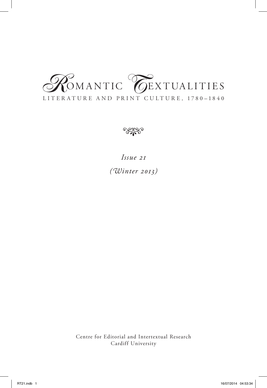# LITER ATURE AND PRINT CULTURE, 1780–1840 **COMANTIC COEXTUALITIES**



*Issue 21 (Winter 2013)*

Centre for Editorial and Intertextual Research Cardiff University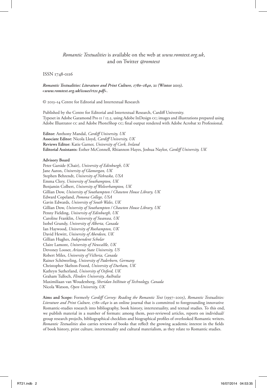# *Romantic Textualities* is available on the web at *www.romtext.org.uk*, and on Twitter *@romtext*

ISSN 1748-0116

*Romantic Textualities: Literature and Print Culture, 1780–1840***, 21 (Winter 2013). <***www.romtext.org.uk/issues/rt21.pdf***>.**

© 2013–14 Centre for Editorial and Intertextual Research

Published by the Centre for Editorial and Intertextual Research, Cardiff University. Typeset in Adobe Garamond Pro 11 / 12.5, using Adobe InDesign cc; images and illustrations prepared using Adobe Illustrator Cc and Adobe PhotoShop Cc; final output rendered with Adobe Acrobat xi Professional.

**Editor:** Anthony Mandal, *Cardiff University, UK* **Associate Editor:** Nicola Lloyd, *Cardiff University, UK* **Reviews Editor:** Katie Garner, *University of Cork, Ireland* **Editorial Assistants:** Esther McConnell, Rhiannon Hayes, Joshua Naylor, *Cardiff University, UK*

#### **Advisory Board**

Peter Garside (Chair), *University of Edinburgh, UK* Jane Aaron, *University of Glamorgan, UK* Stephen Behrendt, *University of Nebraska, USA* Emma Clery, *University of Southampton, UK* Benjamin Colbert, *University of Wolverhampton, UK* Gillian Dow, *University of Southampton / Chawton House Library, UK* Edward Copeland, *Pomona College, USA* Gavin Edwards, *University of South Wales, UK* Gillian Dow, *University of Southampton / Chawton House Library, UK* Penny Fielding, *University of Edinburgh, UK* Caroline Franklin, *University of Swansea, UK* Isobel Grundy, *University of Alberta, Canada* Ian Haywood, *University of Roehampton, UK* David Hewitt, *University of Aberdeen, UK* Gillian Hughes, *Independent Scholar* Claire Lamont, *University of Newcastle, UK* Devoney Looser, *Arizona State University, US* Robert Miles, *University of Victoria, Canada* Rainer Schöwerling, *University of Paderborn, Germany* Christopher Skelton-Foord, *University of Durham, UK* Kathryn Sutherland, *University of Oxford, UK* Graham Tulloch, *Flinders University, Australia* Maximiliaan van Woudenberg, *Sheridan Institute of Technology, Canada* Nicola Watson, *Open University, UK*

**Aims and Scope:** Formerly *Cardiff Corvey: Reading the Romantic Text* (1997–2005), *Romantic Textualities: Literature and Print Culture, 1780–1840* is an online journal that is committed to foregrounding innovative Romantic-studies research into bibliography, book history, intertextuality, and textual studies. To this end, we publish material in a number of formats: among them, peer-reviewed articles, reports on individual/ group research projects, bibliographical checklists and biographical profiles of overlooked Romantic writers. *Romantic Textualities* also carries reviews of books that reflect the growing academic interest in the fields of book history, print culture, intertextuality and cultural materialism, as they relate to Romantic studies.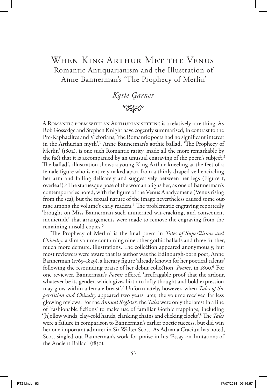# When King Arthur Met the Venus Romantic Antiquarianism and the Illustration of Anne Bannerman's 'The Prophecy of Merlin'

*Katie Garner* • وجودج

A Romantic poem with an Arthurian setting is a relatively rare thing. As Rob Gossedge and Stephen Knight have cogently summarised, in contrast to the Pre-Raphaelites and Victorians, 'the Romantic poets had no significant interest in the Arthurian myth'.1 Anne Bannerman's gothic ballad, 'The Prophecy of Merlin' (1802), is one such Romantic rarity, made all the more remarkable by the fact that it is accompanied by an unusual engraving of the poem's subject.<sup>2</sup> The ballad's illustration shows a young King Arthur kneeling at the feet of a female figure who is entirely naked apart from a thinly draped veil encircling her arm and falling delicately and suggestively between her legs (Figure 1, overleaf).3 The statuesque pose of the woman aligns her, as one of Bannerman's contemporaries noted, with the figure of the Venus Anadyomene (Venus rising from the sea), but the sexual nature of the image nevertheless caused some outrage among the volume's early readers.<sup>4</sup> The problematic engraving reportedly 'brought on Miss Bannerman such unmerited wit-cracking, and consequent inquietude' that arrangements were made to remove the engraving from the remaining unsold copies.5

'The Prophecy of Merlin' is the final poem in *Tales of Superstition and Chivalry*, a slim volume containing nine other gothic ballads and three further, much more demure, illustrations. The collection appeared anonymously, but most reviewers were aware that its author was the Edinburgh-born poet, Anne Bannerman (1765–1829), a literary figure 'already known for her poetical talents' following the resounding praise of her debut collection, *Poems*, in 1800.6 For one reviewer, Bannerman's *Poems* offered 'irrefragable proof that the ardour, whatever be its gender, which gives birth to lofty thought and bold expression may glow within a female breast'.7 Unfortunately, however, when *Tales of Superstition and Chivalry* appeared two years later, the volume received far less glowing reviews. For the *Annual Register*, the *Tales* were only the latest in a line of 'fashionable fictions' to make use of familiar Gothic trappings, including '[h]ollow winds, clay-cold hands, clanking chains and clicking clocks'.8 The *Tales* were a failure in comparison to Bannerman's earlier poetic success, but did win her one important admirer in Sir Walter Scott. As Adriana Craciun has noted, Scott singled out Bannerman's work for praise in his 'Essay on Imitations of the Ancient Ballad' (1830):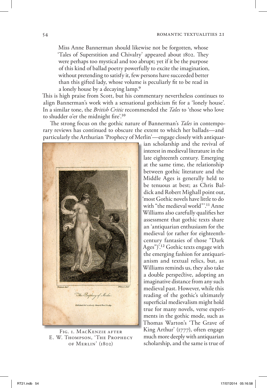Miss Anne Bannerman should likewise not be forgotten, whose 'Tales of Superstition and Chivalry' appeared about 1802. They were perhaps too mystical and too abrupt; yet if it be the purpose of this kind of ballad poetry powerfully to excite the imagination, without pretending to satisfy it, few persons have succeeded better than this gifted lady, whose volume is peculiarly fit to be read in a lonely house by a decaying lamp.9

This is high praise from Scott, but his commentary nevertheless continues to align Bannerman's work with a sensational gothicism fit for a 'lonely house'. In a similar tone, the *British Critic* recommended the *Tales* to 'those who love to shudder o'er the midnight fire'.10

The strong focus on the gothic nature of Bannerman's *Tales* in contemporary reviews has continued to obscure the extent to which her ballads—and particularly the Arthurian 'Prophecy of Merlin'—engage closely with antiquar-



FIG. I. MACKENZIE AFTER E. W. Thompson, 'The Prophecy of Merlin' (1802)

ian scholarship and the revival of interest in medieval literature in the late eighteenth century. Emerging at the same time, the relationship between gothic literature and the Middle Ages is generally held to be tenuous at best; as Chris Baldick and Robert Mighall point out, 'most Gothic novels have little to do with "the medieval world"'.11 Anne Williams also carefully qualifies her assessment that gothic texts share an 'antiquarian enthusiasm for the medieval (or rather for eighteenthcentury fantasies of those "Dark Ages")'.12 Gothic texts engage with the emerging fashion for antiquarianism and textual relics, but, as Williams reminds us, they also take a double perspective, adopting an imaginative distance from any such medieval past. However, while this reading of the gothic's ultimately superficial medievalism might hold true for many novels, verse experiments in the gothic mode, such as Thomas Warton's 'The Grave of King Arthur' (1777), often engage much more deeply with antiquarian scholarship, and the same is true of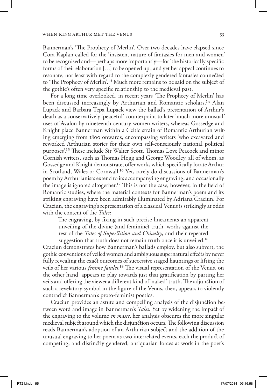Bannerman's 'The Prophecy of Merlin'. Over two decades have elapsed since Cora Kaplan called for the 'insistent nature of fantasies for men and women' to be recognised and—perhaps more importantly—for 'the historically specific forms of their elaboration […] to be opened up', and yet her appeal continues to resonate, not least with regard to the complexly gendered fantasies connected to 'The Prophecy of Merlin'.13 Much more remains to be said on the subject of the gothic's often very specific relationship to the medieval past.

For a long time overlooked, in recent years 'The Prophecy of Merlin' has been discussed increasingly by Arthurian and Romantic scholars.14 Alan Lupack and Barbara Tepa Lupack view the ballad's presentation of Arthur's death as a conservatively 'peaceful' counterpoint to later 'much more unusual' uses of Avalon by nineteenth-century women writers, whereas Gossedge and Knight place Bannerman within a Celtic strain of Romantic Arthurian writing emerging from 1800 onwards, encompassing writers 'who excavated and reworked Arthurian stories for their own self-consciously national political purposes'.15 These include Sir Walter Scott, Thomas Love Peacock and minor Cornish writers, such as Thomas Hogg and George Woodley, all of whom, as Gossedge and Knight demonstrate, offer works which specifically locate Arthur in Scotland, Wales or Cornwall.16 Yet, rarely do discussions of Bannerman's poem by Arthurianists extend to its accompanying engraving, and occasionally the image is ignored altogether.17 This is not the case, however, in the field of Romantic studies, where the material contexts for Bannerman's poem and its striking engraving have been admirably illuminated by Adriana Craciun. For Craciun, the engraving's representation of a classical Venus is strikingly at odds with the content of the *Tales*:

The engraving, by fixing in such precise lineaments an apparent unveiling of the divine (and feminine) truth, works against the rest of the *Tales of Superstition and Chivalry*, and their repeated suggestion that truth does not remain truth once it is unveiled.<sup>18</sup>

Craciun demonstrates how Bannerman's ballads employ, but also subvert, the gothic conventions of veiled women and ambiguous supernatural effects by never fully revealing the exact outcomes of successive staged hauntings or lifting the veils of her various *femme fatales*.19 The visual representation of the Venus, on the other hand, appears to play towards just that gratification by parting her veils and offering the viewer a different kind of 'naked' truth. The adjunction of such a revelatory symbol in the figure of the Venus, then, appears to violently contradict Bannerman's proto-feminist poetics.

Craciun provides an astute and compelling analysis of the disjunction between word and image in Bannerman's *Tales*. Yet by widening the impact of the engraving to the volume *en masse*, her analysis obscures the more singular medieval subject around which the disjunction occurs. The following discussion reads Bannerman's adoption of an Arthurian subject and the addition of the unusual engraving to her poem as two interrelated events, each the product of competing, and distinctly gendered, antiquarian forces at work in the poet's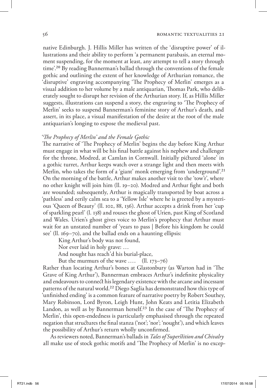native Edinburgh. J. Hillis Miller has written of the 'disruptive power' of illustrations and their ability to perform 'a permanent parabasis, an eternal moment suspending, for the moment at least, any attempt to tell a story through time'.20 By reading Bannerman's ballad through the conventions of the female gothic and outlining the extent of her knowledge of Arthurian romance, the 'disruptive' engraving accompanying 'The Prophecy of Merlin' emerges as a visual addition to her volume by a male antiquarian, Thomas Park, who deliberately sought to disrupt her revision of the Arthurian story. If, as Hillis Miller suggests, illustrations can suspend a story, the engraving to 'The Prophecy of Merlin' seeks to suspend Bannerman's feminine story of Arthur's death, and assert, in its place, a visual manifestation of the desire at the root of the male antiquarian's longing to expose the medieval past.

### *'The Prophecy of Merlin' and the Female Gothic*

The narrative of 'The Prophecy of Merlin' begins the day before King Arthur must engage in what will be his final battle against his nephew and challenger for the throne, Modred, at Camlan in Cornwall. Initially pictured 'alone' in a gothic turret, Arthur keeps watch over a strange light and then meets with Merlin, who takes the form of a 'giant' monk emerging from 'underground'.<sup>21</sup> On the morning of the battle, Arthur makes another visit to the 'tow'r', where no other knight will join him (ll. 19–20). Modred and Arthur fight and both are wounded; subsequently, Arthur is magically transported by boat across a 'pathless' and eerily calm sea to a 'Yellow Isle' where he is greeted by a mysterious 'Queen of Beauty' (ll. 102, 88, 136). Arthur accepts a drink from her 'cup of sparkling pearl' (l. 138) and rouses the ghost of Urien, past King of Scotland and Wales. Urien's ghost gives voice to Merlin's prophecy that Arthur must wait for an unstated number of 'years to pass | Before his kingdom he could see' (ll. 169–70), and the ballad ends on a haunting ellipsis:

King Arthur's body was not found,

Nor ever laid in holy grave: …

And nought has reach'd his burial-place,

But the murmurs of the wave …. (ll. 173–76)

Rather than locating Arthur's bones at Glastonbury (as Warton had in 'The Grave of King Arthur'), Bannerman embraces Arthur's indefinite physicality and endeavours to connect his legendary existence with the arcane and incessant patterns of the natural world.22 Diego Saglia has demonstrated how this type of 'unfinished ending' is a common feature of narrative poetry by Robert Southey, Mary Robinson, Lord Byron, Leigh Hunt, John Keats and Letitia Elizabeth Landon, as well as by Bannerman herself.<sup>23</sup> In the case of 'The Prophecy of Merlin', this open-endedness is particularly emphasised through the repeated negation that structures the final stanza ('not'; 'nor'; 'nought'), and which leaves the possibility of Arthur's return wholly unconfirmed.

As reviewers noted, Bannerman's ballads in *Tales of Superstition and Chivalry* all make use of stock gothic motifs and 'The Prophecy of Merlin' is no excep-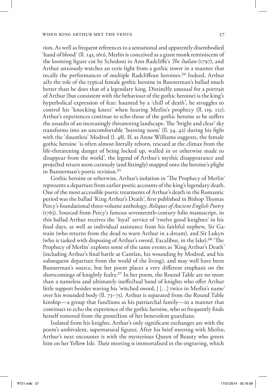tion. As well as frequent references to a sensational and apparently disembodied 'hand of blood' (ll. 143, 160), Merlin is conceived as a giant monk reminiscent of the looming figure cut by Schedoni in Ann Radcliffe's *The Italian* (1797), and Arthur anxiously watches an eerie light from a gothic tower in a manner that recalls the performances of multiple Radcliffean heroines.24 Indeed, Arthur acts the role of the typical female gothic heroine in Bannerman's ballad much better than he does that of a legendary king. Distinctly unusual for a portrait of Arthur (but consistent with the behaviour of the gothic heroine) is the king's hyperbolical expression of fear: haunted by a 'chill of death', he struggles to control his 'knocking knees' when hearing Merlin's prophecy (ll. 119, 121). Arthur's experiences continue to echo those of the gothic heroine as he suffers the assaults of an increasingly threatening landscape. The 'bright and clear' sky transforms into an uncomfortable 'burning noon' (ll. 34, 42) during his fight with the 'dauntless' Modred (l. 48). If, as Anne Williams suggests, the female gothic heroine 'is often almost literally reborn, rescued at the climax from the life-threatening danger of being locked up, walled in or otherwise made to disappear from the world', the legend of Arthur's mythic disappearance and projected return seem curiously (and fittingly) mapped onto the heroine's plight in Bannerman's poetic revision.25

Gothic heroine or otherwise, Arthur's isolation in 'The Prophecy of Merlin' represents a departure from earlier poetic accounts of the king's legendary death. One of the most accessible poetic treatments of Arthur's death in the Romantic period was the ballad 'King Arthur's Death', first published in Bishop Thomas Percy's foundational three-volume anthology, *Reliques of Ancient English Poetry*  (1765). Sourced from Percy's famous seventeenth-century folio manuscript, in this ballad Arthur receives the 'loyal' service of 'twelve good knightes' in his final days, as well as individual assistance from his faithful nephew, Sir Gawain (who returns from the dead to warn Arthur in a dream), and Sir Lukyn (who is tasked with disposing of Arthur's sword, Excalibur, in the lake).26 'The Prophecy of Merlin' explores some of the same events as 'King Arthur's Death' (including Arthur's final battle at Camlan, his wounding by Modred, and his subsequent departure from the world of the living), and may well have been Bannerman's source, but her poem places a very different emphasis on the shortcomings of knightly fealty.27 In her poem, the Round Table are no more than a nameless and ultimately ineffectual band of knights who offer Arthur little support besides waving his 'witched sword, | […] twice in Merlin's name' over his wounded body (ll. 73–75). Arthur is separated from the Round Table kinship—a group that functions as his patriarchal family—in a manner that continues to echo the experience of the gothic heroine, who so frequently finds herself removed from the protection of her benevolent guardians.

Isolated from his knights, Arthur's only significant exchanges are with the poem's ambivalent, supernatural figures. After his brief meeting with Merlin, Arthur's next encounter is with the mysterious Queen of Beauty who greets him on her Yellow Isle. Their meeting is immortalised in the engraving, which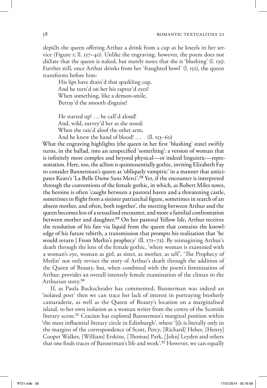depicts the queen offering Arthur a drink from a cup as he kneels in her service (Figure 1; ll. 137–40). Unlike the engraving, however, the poem does not dictate that the queen is naked, but merely notes that she is 'blushing' (l. 135). Further still, once Arthur drinks from her 'fraughted bowl' (l. 152), the queen transforms before him:

His lips have drain'd that sparkling cup, And he turn'd on her his raptur'd eyes! When something, like a demon-smile, Betray'd the smooth disguise!

He started up! … he call'd aloud! And, wild, survey'd her as she stood: When she rais'd aloof the other arm,

And he knew the hand of blood! … (ll. 153–60)

What the engraving highlights (the queen in her first 'blushing' state) swiftly turns, in the ballad, into an unspecified 'something': a version of woman that is infinitely more complex and beyond physical—or indeed linguistic—representation. Here, too, the action is quintessentially gothic, inviting Elizabeth Fay to consider Bannerman's queen as 'obliquely vampiric' in a manner that anticipates Keats's 'La Belle Dame Sans Merci'.28 Yet, if the encounter is interpreted through the conventions of the female gothic, in which, as Robert Miles notes, the heroine is often 'caught between a pastoral haven and a threatening castle, sometimes in flight from a sinister patriarchal figure, sometimes in search of an absent mother, and often, both together', the meeting between Arthur and the queen becomes less of a sexualised encounter, and more a familial confrontation between mother and daughter.<sup>29</sup> On her pastoral Yellow Isle, Arthur receives the resolution of his fate via liquid from the queen that contains the knowledge of his future rebirth, a transmission that prompts his realisation that 'he would return | From Merlin's prophecy' (ll. 171–72). By reimagining Arthur's death through the lens of the female gothic, 'where woman is examined with a woman's eye, woman as girl, as sister, as mother, as self', 'The Prophecy of Merlin' not only revises the story of Arthur's death through the addition of the Queen of Beauty, but, when combined with the poem's feminisation of Arthur, provides an overall intensely female examination of the climax to the Arthurian story.30

If, as Paula Backscheider has commented, Bannerman was indeed an 'isolated poet' then we can trace her lack of interest in portraying brotherly camaraderie, as well as the Queen of Beauty's location on a marginalised island, to her own isolation as a woman writer from the centre of the Scottish literary scene.<sup>31</sup> Craciun has explored Bannerman's marginal position within 'the most influential literary circle in Edinburgh', where '[i]t is literally only in the margins of the correspondence of Scott, Percy, [Richard] Heber, [Henry] Cooper Walker, [William] Erskine, [Thomas] Park, [John] Leyden and others that one finds traces of Bannerman's life and work'.32 However, we can equally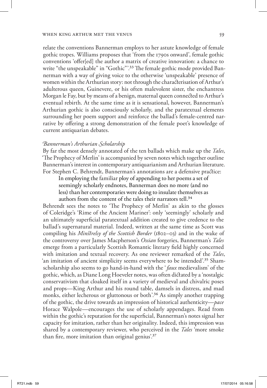relate the conventions Bannerman employs to her astute knowledge of female gothic tropes. Williams proposes that 'from the 1790s onward', female gothic conventions 'offer[ed] the author a matrix of creative innovation: a chance to write "the unspeakable" in "Gothic".<sup>33</sup> The female gothic mode provided Bannerman with a way of giving voice to the otherwise 'unspeakable' presence of women within the Arthurian story: not through the characterisation of Arthur's adulterous queen, Guinevere, or his often malevolent sister, the enchantress Morgan le Fay, but by means of a benign, maternal queen connected to Arthur's eventual rebirth. At the same time as it is sensational, however, Bannerman's Arthurian gothic is also consciously scholarly, and the paratextual elements surrounding her poem support and reinforce the ballad's female-centred narrative by offering a strong demonstration of the female poet's knowledge of current antiquarian debates.

# *Bannerman's Arthurian Scholarship*

By far the most densely annotated of the ten ballads which make up the *Tales*, 'The Prophecy of Merlin' is accompanied by seven notes which together outline Bannerman's interest in contemporary antiquarianism and Arthurian literature. For Stephen C. Behrendt, Bannerman's annotations are a defensive practice:

In employing the familiar ploy of appending to her poems a set of seemingly scholarly endnotes, Bannerman does no more (and no less) than her contemporaries were doing to insulate themselves as authors from the content of the tales their narrators tell.<sup>34</sup>

Behrendt sees the notes to 'The Prophecy of Merlin' as akin to the glosses of Coleridge's 'Rime of the Ancient Mariner': only 'seemingly' scholarly and an ultimately superficial paratextual addition created to give credence to the ballad's supernatural material. Indeed, written at the same time as Scott was compiling his *Minstrelsy of the Scottish Border* (1802–03) and in the wake of the controversy over James Macpherson's *Ossian* forgeries, Bannerman's *Tales* emerge from a particularly Scottish Romantic literary field highly concerned with imitation and textual recovery. As one reviewer remarked of the *Tales*, 'an imitation of ancient simplicity seems everywhere to be intended'.35 Shamscholarship also seems to go hand-in-hand with the '*faux* medievalism' of the gothic, which, as Diane Long Hoeveler notes, was often dictated by a 'nostalgic conservativism that cloaked itself in a variety of medieval and chivalric poses and props—King Arthur and his round table, damsels in distress, and mad monks, either lecherous or gluttonous or both'.<sup>36</sup> As simply another trapping of the gothic, the drive towards an impression of historical authenticity—*pace* Horace Walpole—encourages the use of scholarly appendages. Read from within the gothic's reputation for the superficial, Bannerman's notes signal her capacity for imitation, rather than her originality. Indeed, this impression was shared by a contemporary reviewer, who perceived in the *Tales* 'more smoke than fire, more imitation than original genius'.37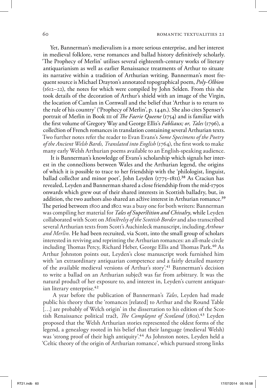Yet, Bannerman's medievalism is a more serious enterprise, and her interest in medieval folklore, verse romances and ballad history definitively scholarly. 'The Prophecy of Merlin' utilises several eighteenth-century works of literary antiquarianism as well as earlier Renaissance treatments of Arthur to situate its narrative within a tradition of Arthurian writing. Bannerman's most frequent source is Michael Drayton's annotated topographical poem, *Poly-Olbion* (1612–22), the notes for which were compiled by John Selden. From this she took details of the decoration of Arthur's shield with an image of the Virgin, the location of Camlan in Cornwall and the belief that 'Arthur is to return to the rule of his country' ('Prophecy of Merlin', p. 144n.). She also cites Spenser's portrait of Merlin in Book iii of *The Faerie Queene* (1754) and is familiar with the first volume of Gregory Way and George Ellis's *Fabliaux; or, Tales* (1796), a collection of French romances in translation containing several Arthurian texts. Two further notes refer the reader to Evan Evans's *Some Specimens of the Poetry of the Ancient Welsh Bards, Translated into English* (1764), the first work to make many early Welsh Arthurian poems available to an English-speaking audience.

It is Bannerman's knowledge of Evans's scholarship which signals her interest in the connections between Wales and the Arthurian legend, the origins of which it is possible to trace to her friendship with the 'philologist, linguist, ballad collector and minor poet', John Leyden (1775–1811).<sup>38</sup> As Craciun has revealed, Leyden and Bannerman shared a close friendship from the mid-1790s onwards which grew out of their shared interests in Scottish balladry, but, in addition, the two authors also shared an active interest in Arthurian romance.<sup>39</sup> The period between 1800 and 1802 was a busy one for both writers: Bannerman was compiling her material for *Tales of Superstition and Chivalry*, while Leyden collaborated with Scott on *Minstrelsy of the Scottish Border* and also transcribed several Arthurian texts from Scott's Auchinleck manuscript, including *Arthour and Merlin*. He had been recruited, via Scott, into the small group of scholars interested in reviving and reprinting the Arthurian romances: an all-male circle including Thomas Percy, Richard Heber, George Ellis and Thomas Park.<sup>40</sup> As Arthur Johnston points out, Leyden's close manuscript work furnished him with 'an extraordinary antiquarian competence and a fairly detailed mastery of the available medieval versions of Arthur's story'.<sup>41</sup> Bannerman's decision to write a ballad on an Arthurian subject was far from arbitrary. It was the natural product of her exposure to, and interest in, Leyden's current antiquarian literary enterprise.<sup>42</sup>

 A year before the publication of Bannerman's *Tales*, Leyden had made public his theory that the 'romances [related] to Arthur and the Round Table [...] are probably of Welch origin' in the dissertation to his edition of the Scottish Renaissance political tract, *The Complaynt of Scotland* (1801).43 Leyden proposed that the Welsh Arthurian stories represented the oldest forms of the legend, a genealogy rooted in his belief that their language (medieval Welsh) was 'strong proof of their high antiquity'.<sup>44</sup> As Johnston notes, Leyden held a 'Celtic theory of the origin of Arthurian romance', which pursued strong links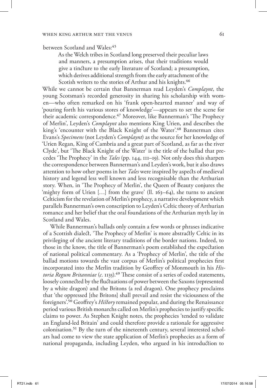# between Scotland and Wales:45

As the Welch tribes in Scotland long preserved their peculiar laws and manners, a presumption arises, that their traditions would give a tincture to the early literature of Scotland; a presumption, which derives additional strength from the early attachment of the Scotish writers to the stories of Arthur and his knights.<sup>46</sup>

While we cannot be certain that Bannerman read Leyden's *Complaynt*, the young Scotsman's recorded generosity in sharing his scholarship with women—who often remarked on his 'frank open-hearted manner' and way of 'pouring forth his various stores of knowledge'—appears to set the scene for their academic correspondence.<sup>47</sup> Moreover, like Bannerman's 'The Prophecy of Merlin', Leyden's *Complaynt* also mentions King Urien, and describes the king's 'encounter with the Black Knight of the Water'.<sup>48</sup> Bannerman cites Evans's *Specimens* (not Leyden's *Complaynt*) as the source for her knowledge of 'Urien Regan, King of Cambria and a great part of Scotland, as far as the river Clyde', but 'The Black Knight of the Water' is the title of the ballad that precedes 'The Prophecy' in the *Tales* (pp. 144, 111–19). Not only does this sharpen the correspondence between Bannerman's and Leyden's work, but it also draws attention to how other poems in her *Tales* were inspired by aspects of medieval history and legend less well known and less recognisable than the Arthurian story. When, in 'The Prophecy of Merlin', the Queen of Beauty conjures the 'mighty form of Urien  $[\ldots]$  from the grave' (ll. 163–64), she turns to ancient Celticism for the revelation of Merlin's prophecy, a narrative development which parallels Bannerman's own conscription to Leyden's Celtic theory of Arthurian romance and her belief that the oral foundations of the Arthurian myth lay in Scotland and Wales.

While Bannerman's ballads only contain a few words or phrases indicative of a Scottish dialect, 'The Prophecy of Merlin' is more abstractly Celtic in its privileging of the ancient literary traditions of the border nations. Indeed, to those in the know, the title of Bannerman's poem established the expectation of national political commentary. As a 'Prophecy of Merlin', the title of the ballad motions towards the vast corpus of Merlin's political prophecies first incorporated into the Merlin tradition by Geoffrey of Monmouth in his *Historia Regum Britanniae* (*c*. 1135).<sup>49</sup> These consist of a series of coded statements, loosely connected by the fluctuations of power between the Saxons (represented by a white dragon) and the Britons (a red dragon). One prophecy proclaims that 'the oppressed [the Britons] shall prevail and resist the viciousness of the foreigners'.50 Geoffrey's *History* remained popular, and during the Renaissance period various British monarchs called on Merlin's prophecies to justify specific claims to power. As Stephen Knight notes, the prophecies 'tended to validate an England-led Britain' and could therefore provide a rationale for aggressive colonisation.51 By the turn of the nineteenth century, several interested scholars had come to view the state application of Merlin's prophecies as a form of national propaganda, including Leyden, who argued in his introduction to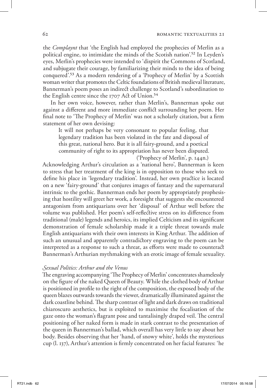the *Complaynt* that 'the English had employed the prophecies of Merlin as a political engine, to intimidate the minds of the Scotish nation'.52 In Leyden's eyes, Merlin's prophecies were intended to 'dispirit the Commons of Scotland, and subjugate their courage, by familiarizing their minds to the idea of being conquered'.53 As a modern rendering of a 'Prophecy of Merlin' by a Scottish woman writer that promotes the Celtic foundations of British medieval literature, Bannerman's poem poses an indirect challenge to Scotland's subordination to the English centre since the 1707 Act of Union.<sup>54</sup>

In her own voice, however, rather than Merlin's, Bannerman spoke out against a different and more immediate conflict surrounding her poem. Her final note to 'The Prophecy of Merlin' was not a scholarly citation, but a firm statement of her own devising:

It will not perhaps be very consonant to popular feeling, that legendary tradition has been violated in the fate and disposal of this great, national hero. But it is all fairy-ground, and a poetical community of right to its appropriation has never been disputed.

('Prophecy of Merlin', p. 144n.)

Acknowledging Arthur's circulation as a 'national hero', Bannerman is keen to stress that her treatment of the king is in opposition to those who seek to define his place in 'legendary tradition'. Instead, her own practice is located on a new 'fairy-ground' that conjures images of fantasy and the supernatural intrinsic to the gothic. Bannerman ends her poem by appropriately prophesising that hostility will greet her work, a foresight that suggests she encountered antagonism from antiquarians over her 'disposal' of Arthur well before the volume was published. Her poem's self-reflective stress on its difference from traditional (male) legends and heroics, its implied Celticism and its significant demonstration of female scholarship made it a triple threat towards male English antiquarians with their own interests in King Arthur. The addition of such an unusual and apparently contradictory engraving to the poem can be interpreted as a response to such a threat, as efforts were made to counteract Bannerman's Arthurian mythmaking with an erotic image of female sexuality.

### *Sexual Politics: Arthur and the Venus*

The engraving accompanying 'The Prophecy of Merlin' concentrates shamelessly on the figure of the naked Queen of Beauty. While the clothed body of Arthur is positioned in profile to the right of the composition, the exposed body of the queen blazes outwards towards the viewer, dramatically illuminated against the dark coastline behind. The sharp contrast of light and dark draws on traditional chiaroscuro aesthetics, but is exploited to maximise the focalisation of the gaze onto the woman's flagrant pose and tantalisingly draped veil. The central positioning of her naked form is made in stark contrast to the presentation of the queen in Bannerman's ballad, which overall has very little to say about her body. Besides observing that her 'hand, of snowy white', holds the mysterious cup (l. 137), Arthur's attention is firmly concentrated on her facial features: 'he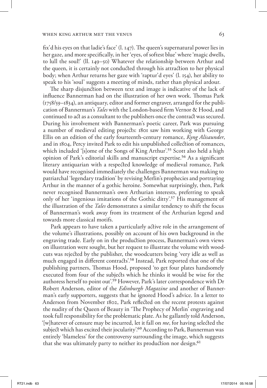fix'd his eyes on that ladie's face' (l. 147). The queen's supernatural power lies in her gaze, and more specifically, in her 'eyes, of softest blue' where 'magic dwells, to lull the soul!' (ll. 149–50) Whatever the relationship between Arthur and the queen, it is certainly not conducted through his attraction to her physical body; when Arthur returns her gaze with 'raptur'd eyes' (l. 154), her ability to speak to his 'soul' suggests a meeting of minds, rather than physical ardour.

The sharp disjunction between text and image is indicative of the lack of influence Bannerman had on the illustration of her own work. Thomas Park (1758/59–1834), an antiquary, editor and former engraver, arranged for the publication of Bannerman's *Tales* with the London-based firm Vernor & Hood, and continued to act as a consultant to the publishers once the contract was secured. During his involvement with Bannerman's poetic career, Park was pursuing a number of medieval editing projects: 1801 saw him working with George Ellis on an edition of the early fourteenth-century romance, *Kyng Alisaunder*, and in 1804, Percy invited Park to edit his unpublished collection of romances, which included '[s]ome of the Songs of King Arthur'.<sup>55</sup> Scott also held a high opinion of Park's editorial skills and manuscript expertise.56 As a significant literary antiquarian with a respected knowledge of medieval romance, Park would have recognised immediately the challenges Bannerman was making to patriarchal 'legendary tradition' by revising Merlin's prophecies and portraying Arthur in the manner of a gothic heroine. Somewhat surprisingly, then, Park never recognised Bannerman's own Arthurian interests, preferring to speak only of her 'ingenious imitations of the Gothic ditty'.57 His management of the illustration of the *Tales* demonstrates a similar tendency to shift the focus of Bannerman's work away from its treatment of the Arthurian legend and towards more classical motifs.

Park appears to have taken a particularly active role in the arrangement of the volume's illustrations, possibly on account of his own background in the engraving trade. Early on in the production process, Bannerman's own views on illustration were sought, but her request to illustrate the volume with woodcuts was rejected by the publisher, the woodcutters being 'very idle as well as much engaged in different contracts'.58 Instead, Park reported that one of the publishing partners, Thomas Hood, proposed 'to get four plates handsomely executed from four of the subjects which he thinks it would be wise for the authoress herself to point out'.59 However, Park's later correspondence with Dr Robert Anderson, editor of the *Edinburgh Magazine* and another of Bannerman's early supporters, suggests that he ignored Hood's advice. In a letter to Anderson from November 1802, Park reflected on the recent protests against the nudity of the Queen of Beauty in 'The Prophecy of Merlin' engraving and took full responsibility for the problematic plate. As he gallantly told Anderson, '[w]hatever of censure may be incurred, let it fall on *me*, for having selected the subject which has excited their jocularity'.60 According to Park, Bannerman was entirely 'blameless' for the controversy surrounding the image, which suggests that she was ultimately party to neither its production nor design.<sup>61</sup>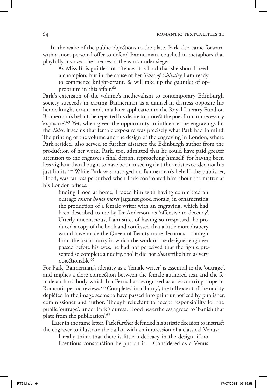In the wake of the public objections to the plate, Park also came forward with a more personal offer to defend Bannerman, couched in metaphors that playfully invoked the themes of the work under siege:

As Miss B. is guiltless of offence, it is hard that she should need a champion, but in the cause of her *Tales of Chivalry* I am ready to commence knight-errant, & will take up the gauntlet of opprobrium in this affair.62

Park's extension of the volume's medievalism to contemporary Edinburgh society succeeds in casting Bannerman as a damsel-in-distress opposite his heroic knight-errant, and, in a later application to the Royal Literary Fund on Bannerman's behalf, he repeated his desire to protect the poet from unnecessary 'exposure'.63 Yet, when given the opportunity to influence the engravings for the *Tales*, it seems that female exposure was precisely what Park had in mind. The printing of the volume and the design of the engraving in London, where Park resided, also served to further distance the Edinburgh author from the production of her work. Park, too, admitted that he could have paid greater attention to the engraver's final design, reproaching himself 'for having been less vigilant than I ought to have been in seeing that the artist exceeded not his just limits'.<sup>64</sup> While Park was outraged on Bannerman's behalf, the publisher, Hood, was far less perturbed when Park confronted him about the matter at his London offices:

finding Hood at home, I taxed him with having committed an outrage *contra bonos mores* [against good morals] in ornamenting the production of a female writer with an engraving, which had been described to me by Dr Anderson, as 'offensive to decency'. Utterly unconscious, I am sure, of having so trespassed, he produced a copy of the book and confessed that a little more drapery would have made the Queen of Beauty more decorous—though from the usual hurry in which the work of the designer engraver passed before his eyes, he had not perceived that the figure presented so complete a nudity, tho' it did not *then* strike him as very objectionable.65

For Park, Bannerman's identity as a 'female writer' is essential to the 'outrage', and implies a close connection between the female-authored text and the female author's body which Ina Ferris has recognised as a reoccurring trope in Romantic period reviews.66 Completed in a 'hurry', the full extent of the nudity depicted in the image seems to have passed into print unnoticed by publisher, commissioner and author. Though reluctant to accept responsibility for the public 'outrage', under Park's duress, Hood nevertheless agreed to 'banish that plate from the publication'.67

 Later in the same letter, Park further defended his artistic decision to instruct the engraver to illustrate the ballad with an impression of a classical Venus:

I really think that there is little indelicacy in the design, if no licentious construction be put on it.—Considered as a Venus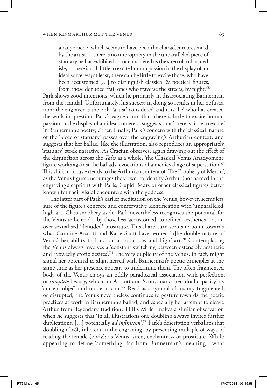anadyomene, which seems to have been the character represented by the artist,—there is no impropriety in the unparalleled piece of statuary he has exhibited;—or considered as the siren of a charmed isle,—there is still little to excite human passion in the display of an ideal sorceress; at least, there can be little to excite those, who have been accustomed […] to distinguish classical & poetical figures, from those denuded frail ones who traverse the streets, by night.<sup>68</sup>

Park shows good intentions, which lie primarily in disassociating Bannerman from the scandal. Unfortunately, his success in doing so results in her obfuscation: the engraver is the only 'artist' considered and it is 'he' who has created the work in question. Park's vague claim that 'there is little to excite human passion in the display of an ideal sorceress' suggests that 'there is little to excite' in Bannerman's poetry, either. Finally, Park's concern with the 'classical' nature of the 'piece of statuary' passes over the engraving's Arthurian context, and suggests that her ballad, like the illustration, also reproduces an appropriately 'statuary' stock narrative. As Craciun observes, again drawing out the effect of the disjunction across the *Tales* as a whole, 'the Classical Venus Anadyomene figure works against the ballads' evocations of a medieval age of superstition'.69 This shift in focus extends to the Arthurian content of 'The Prophecy of Merlin', as the Venus figure encourages the viewer to identify Arthur (not named in the engraving's caption) with Paris, Cupid, Mars or other classical figures better known for their visual encounters with the goddess.

The latter part of Park's earlier meditation on the Venus, however, seems less sure of the figure's concrete and conservative identification with 'unparalleled' high art. Class snobbery aside, Park nevertheless recognises the potential for the Venus to be read—by those less 'accustomed' to refined aesthetics—as an over-sexualised 'denuded' prostitute. This sharp turn seems to point towards what Caroline Arscott and Katie Scott have termed '[t]he double nature of Venus': her ability to function as both 'low and high' art.70 Contemplating the Venus always involves a 'constant switching between ostensibly aesthetic and avowedly erotic desires<sup>'71</sup> The very duplicity of the Venus, in fact, might signal her potential to align herself with Bannerman's poetic principles at the same time as her presence appears to undermine them. The often fragmented body of the Venus enjoys an oddly paradoxical association with perfection, or *complete* beauty, which for Arscott and Scott, marks her 'dual capacity' as 'ancient object and modern icon'.<sup>72</sup> Read as a symbol of history fragmented, or disrupted, the Venus nevertheless continues to gesture towards the poetic practices at work in Bannerman's ballad, and especially her attempt to cleave Arthur from 'legendary tradition'. Hillis Miller makes a similar observation when he suggests that 'in all illustrations one doubling always invites further duplications, […] potentially *ad infinitum*'.73 Park's description verbalises that doubling effect, inherent in the engraving, by presenting multiple of ways of reading the female (body): as Venus, siren, enchantress or prostitute. While appearing to define 'something' far from Bannerman's meaning—what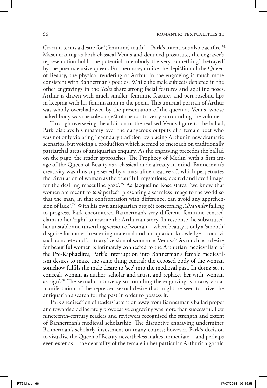Craciun terms a desire for '(feminine) truth'—Park's intentions also backfire.74 Masquerading as both classical Venus and denuded prostitute, the engraver's representation holds the potential to embody the very 'something' 'betrayed' by the poem's elusive queen. Furthermore, unlike the depiction of the Queen of Beauty, the physical rendering of Arthur in the engraving is much more consistent with Bannerman's poetics. While the male subjects depicted in the other engravings in the *Tales* share strong facial features and aquiline noses, Arthur is drawn with much smaller, feminine features and pert rosebud lips in keeping with his feminisation in the poem. This unusual portrait of Arthur was wholly overshadowed by the presentation of the queen as Venus, whose naked body was the sole subject of the controversy surrounding the volume.

Through overseeing the addition of the realised Venus figure to the ballad, Park displays his mastery over the dangerous outputs of a female poet who was not only violating 'legendary tradition' by placing Arthur in new dramatic scenarios, but voicing a production which seemed to encroach on traditionally patriarchal areas of antiquarian enquiry. As the engraving precedes the ballad on the page, the reader approaches 'The Prophecy of Merlin' with a firm image of the Queen of Beauty as a classical nude already in mind. Bannerman's creativity was thus superseded by a masculine creative act which perpetuates the 'circulation of woman as the beautiful, mysterious, desired and loved image for the desiring masculine gaze'.75 As Jacqueline Rose states, 'we know that women are meant to *look* perfect, presenting a seamless image to the world so that the man, in that confrontation with difference, can avoid any apprehension of lack'.76 With his own antiquarian project concerning *Alisaunder* failing to progress, Park encountered Bannerman's very different, feminine-centred claim to her 'right' to rewrite the Arthurian story. In response, he substituted her unstable and unsettling version of woman—where beauty is only a 'smooth' disguise for more threatening maternal and antiquarian knowledge—for a visual, concrete and 'statuary' version of woman as Venus.77 As much as a desire for beautiful women is intimately connected to the Arthurian medievalism of the Pre-Raphaelites, Park's interruption into Bannerman's female medievalism desires to make the same thing central: the exposed body of the woman somehow fulfils the male desire to 'see' into the medieval past. In doing so, it conceals woman as author, scholar and artist, and replaces her with 'woman as sign'.78 The sexual controversy surrounding the engraving is a rare, visual manifestation of the repressed sexual desire that might be seen to drive the antiquarian's search for the past in order to possess it.

Park's redirection of readers' attention away from Bannerman's ballad proper and towards a deliberately provocative engraving was more than successful. Few nineteenth-century readers and reviewers recognised the strength and extent of Bannerman's medieval scholarship. The disruptive engraving undermines Bannerman's scholarly investment on many counts; however, Park's decision to visualise the Queen of Beauty nevertheless makes immediate—and perhaps even extends—the centrality of the female in her particular Arthurian gothic.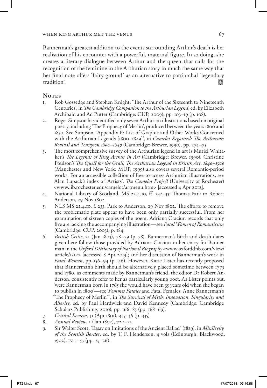Bannerman's greatest addition to the events surrounding Arthur's death is her realisation of his encounter with a powerful, maternal figure. In so doing, she creates a literary dialogue between Arthur and the queen that calls for the recognition of the feminine in the Arthurian story in much the same way that her final note offers 'fairy ground' as an alternative to patriarchal 'legendary tradition'.

# **Notes**

- 1. Rob Gossedge and Stephen Knight, 'The Arthur of the Sixteenth to Nineteenth Centuries', in *The Cambridge Companion to the Arthurian Legend*, ed. by Elizabeth Archibald and Ad Putter (Cambridge: CUP, 2009), pp. 103–19 (p. 108).
- 2. Roger Simpson has identified only seven Arthurian illustrations based on original poetry, including 'The Prophecy of Merlin', produced between the years 1800 and 1850. See Simpson, 'Appendix E: List of Graphic and Other Works Concerned with the Arthurian Legends [1800–1849]', in *Camelot Regained: The Arthurian Revival and Tennyson 1800–1849* (Cambridge: Brewer, 1990), pp. 274–75.
- 3. The most comprehensive survey of the Arthurian legend in art is Muriel Whitaker's *The Legends of King Arthur in Art* (Cambridge: Brewer, 1990). Christine Poulson's *The Quest for the Grail: The Arthurian Legend in British Art, 1840–1920*  (Manchester and New York: MUP, 1999) also covers several Romantic-period works. For an accessible collection of free-to-access Arthurian illustrations, see Alan Lupack's index of 'Artists', *The Camelot Project* (University of Rochester) <www.lib.rochester.edu/camelot/artmenu.htm> [accessed 4 Apr 2012].
- 4. National Library of Scotland, MS 22.4.10, ff. 232–33: Thomas Park to Robert Anderson, 29 Nov 1802.
- 5. NLS MS 22.4.10. f. 233: Park to Anderson, 29 Nov 1802. The efforts to remove the problematic plate appear to have been only partially successful. From her examination of sixteen copies of the poem*,* Adriana Craciun records that only five are lacking the accompanying illustration—see *Fatal Women of Romanticism* (Cambridge: CUP, 2003), p. 184.
- 6. *British Critic*, 21 (Jan 1803), 78–79 (p. 78). Bannerman's birth and death dates given here follow those provided by Adriana Craciun in her entry for Bannerman in the *Oxford Dictionary of National Biography* <www.oxforddnb.com/view/ article/1312> [accessed 8 Apr 2013]; and her discussion of Bannerman's work in *Fatal Women*, pp. 156–94 (p. 156). However, Katie Lister has recently proposed that Bannerman's birth should be alternatively placed sometime between 1775 and 1780, as comments made by Bannerman's friend, the editor Dr Robert Anderson, consistently refer to her as particularly young poet. As Lister points out, 'were Bannerman born in 1765 she would have been 35 years old when she began to publish in 1800'—see '*Femmes Fatales* and Fatal Females: Anne Bannerman's "The Prophecy of Merlin"', in *The Survival of Myth: Innovation, Singularity and Alterity*, ed. by Paul Hardwick and David Kennedy (Cambridge: Cambridge Scholars Publishing, 2010), pp. 166–85 (pp. 168–69).
- 7. *Critical Review*, 31 (Apr 1801), 435–36 (p. 435).
- 8. *Annual Review*, 1 (Jan 1802), 720–21.
- 9. Sir Walter Scott, 'Essay on Imitations of the Ancient Ballad' (1829), in *Minstrelsy of the Scottish Border*, ed. by T. F. Henderson, 4 vols (Edinburgh: Blackwood, 1902), iv, 1–53 (pp. 25–26).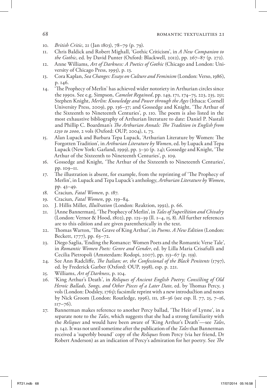- 10. *British Critic*, 21 (Jan 1803), 78–79 (p. 79).
- 11. Chris Baldick and Robert Mighall, 'Gothic Criticism', in *A New Companion to the Gothic*, ed. by David Punter (Oxford: Blackwell, 2012), pp. 267–87 (p. 272).
- 12. Anne Williams, *Art of Darkness: A Poetics of Gothic* (Chicago and London: University of Chicago Press, 1995), p. 13.
- 13. Cora Kaplan, *Sea Changes: Essays on Culture and Feminism* (London: Verso, 1986), p. 146.
- 14. 'The Prophecy of Merlin' has achieved wider notoriety in Arthurian circles since the 1990s. See e.g. Simpson, *Camelot Regained*, pp. 149, 171, 174–75, 223, 235, 251; Stephen Knight, *Merlin: Knowledge and Power through the Ages* (Ithaca: Cornell University Press, 2009), pp. 136–37; and Gossedge and Knight, 'The Arthur of the Sixteenth to Nineteenth Centuries', p. 110. The poem is also listed in the most exhaustive bibliography of Arthurian literature to date: Daniel P. Nastali and Phillip C. Boardman's *The Arthurian Annals: The Tradition in English from 1250 to 2000*, 2 vols (Oxford: OUP, 2004), i, 73.
- 15. Alan Lupack and Barbara Tepa Lupack, 'Arthurian Literature by Women: The Forgotten Tradition', in *Arthurian Literature by Women*, ed. by Lupack and Tepa Lupack (New York: Garland, 1999), pp. 3–30 (p. 24); Gossedge and Knight, 'The Arthur of the Sixteenth to Nineteenth Centuries', p. 109.
- 16. Gossedge and Knight, 'The Arthur of the Sixteenth to Nineteenth Centuries', pp. 109–11.
- 17. The illustration is absent, for example, from the reprinting of 'The Prophecy of Merlin', in Lupack and Tepa Lupack's anthology, *Arthurian Literature by Women*, pp. 43–49.
- 18. Craciun, *Fatal Women*, p. 187.
- 19. Craciun, *Fatal Women*, pp. 159–84.
- 20. J. Hillis Miller, *Illustration* (London: Reaktion, 1992), p. 66.
- 21. [Anne Bannerman], 'The Prophecy of Merlin', in *Tales of Superstition and Chivalry*  (London: Vernor & Hood, 1802), pp. 125–39 (ll. 1–4, 15, 8). All further references are to this edition and are given parenthetically in the text.
- 22. Thomas Warton, 'The Grave of King Arthur', in *Poems*. *A New Edition* (London: Beckett, 1777), pp. 63–72.
- 23. Diego Saglia, 'Ending the Romance: Women Poets and the Romantic Verse Tale', in *Romantic Women Poets: Genre and Gender*, ed. by Lilla Maria Crisafulli and Cecilia Pietropoli (Amsterdam: Rodopi, 2007), pp. 153–67 (p. 159).
- 24. See Ann Radcliffe, *The Italian; or, the Confessional of the Black Penitents* (1797), ed. by Frederick Garber (Oxford: OUP, 1998), esp. p. 221.
- 25. Williams, *Art of Darkness*, p. 104.
- 26. 'King Arthur's Death', in *Reliques of Ancient English Poetry; Consisting of Old Heroic Ballads, Songs, and Other Pieces of a Later Date*, ed. by Thomas Percy, 3 vols (London: Dodsley, 1765); facsimile reprint with a new introduction and notes by Nick Groom (London: Routledge, 1996), iii, 28–36 (see esp. ll. 77, 25, 7–16,  $117 - 76$ ).
- 27. Bannerman makes reference to another Percy ballad, 'The Heir of Lynne', in a separate note to the *Tales*, which suggests that she had a strong familiarity with the *Reliques* and would have been aware of 'King Arthur's Death'—see *Tales*, p. 142. It was not until sometime after the publication of the *Tales* that Bannerman received a 'superbly bound' copy of the *Reliques* from Percy (via her friend, Dr Robert Anderson) as an indication of Percy's admiration for her poetry. See *The*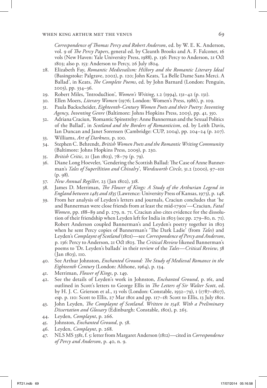*Correspondence of Thomas Percy and Robert Anderson*, ed. by W. E. K. Anderson, vol. 9 of *The Percy Papers*, general ed. by Cleanth Brooks and A. F. Falconer, 16 vols (New Haven: Yale University Press, 1988), p. 136: Percy to Anderson, 21 Oct 1803; also p. 153: Anderson to Percy, 26 July 1804.

- 28. Elizabeth Fay, *Romantic Medievalism: History and the Romantic Literary Ideal*  (Basingstoke: Palgrave, 2002), p. 120; John Keats, 'La Belle Dame Sans Merci. A Ballad', in Keats, *The Complete Poems*, ed. by John Barnard (London: Penguin, 2003), pp. 334–36.
- 29. Robert Miles, 'Introduction', *Women's Writing*, 1.2 (1994), 131–42 (p. 131).
- 30. Ellen Moers, *Literary Women* (1976; London: Women's Press, 1986), p. 109.
- 31. Paula Backscheider, *Eighteenth-Century Women Poets and their Poetry: Inventing Agency, Inventing Genre* (Baltimore: Johns Hopkins Press, 2005), pp. 41, 350.
- 32. Adriana Craciun, 'Romantic Spinstrelsy: Anne Bannerman and the Sexual Politics of the Ballad', in *Scotland and the Borders of Romanticism*, ed. by Leith Davis, Ian Duncan and Janet Sorensen (Cambridge: CUP, 2004), pp. 204–24 (p. 207).
- 33. Williams, *Art of Darkness*, p. 100.
- 34. Stephen C. Behrendt, *British Women Poets and the Romantic Writing Community* (Baltimore: Johns Hopkins Press, 2009), p. 230.
- 35. *British Critic*, 21 (Jan 1803), 78–79 (p. 79).
- 36. Diane Long Hoeveler, 'Gendering the Scottish Ballad: The Case of Anne Bannerman's *Tales of Superstition and Chivalry*', *Wordsworth Circle*, 31.2 (2000), 97–101 (p. 98).
- 37. *New Annual Register*, 23 (Jan 1802), 318.
- 38. James D. Merriman, *The Flower of Kings: A Study of the Arthurian Legend in England between 1485 and 1835* (Lawrence: University Press of Kansas, 1973), p. 148.
- 39. From her analysis of Leyden's letters and journals, Craciun concludes that 'he and Bannerman were close friends from at least the mid-1790s'—Craciun, *Fatal Women*, pp. 188–89 and p. 279, n. 71. Craciun also cites evidence for the dissolution of their friendship when Leyden left for India in 1803 (see pp. 279–80, n. 71). Robert Anderson coupled Bannerman's and Leyden's poetry together in 1803 when he sent Percy copies of Bannerman's 'The Dark Ladie' (from *Tales*) and Leyden's *Complaynt of Scotland* (1801)—see *Correspondence of Percy and Anderson*, p. 136: Percy to Anderson, 21 Oct 1803. The *Critical Review* likened Bannerman's poems to 'Dr. Leyden's ballads' in their review of the *Tales*—*Critical Review*, 38 (Jan 1803), 110.
- 40. See Arthur Johnston, *Enchanted Ground: The Study of Medieval Romance in the Eighteenth Century* (London: Althone, 1964), p. 134.
- 41. Merriman, *Flower of Kings*, p. 149.
- 42. See the details of Leyden's work in Johnston, *Enchanted Ground*, p. 161, and outlined in Scott's letters to George Ellis in *The Letters of Sir Walter Scott*, ed. by H. J. C. Grierson et al., 13 vols (London: Constable, 1932–79), i (1787–1807), esp. p. 110: Scott to Ellis, 27 Mar 1801 and pp. 117–18: Scott to Ellis, 13 July 1801.
- 43. John Leyden, *The Complaynt of Scotland. Written in 1548. With a Preliminary Dissertation and Glossary* (Edinburgh: Constable, 1801), p. 265.
- 44. Leyden, *Complaynt*, p. 266.
- 45. Johnston, *Enchanted Ground*, p. 58.
- 46. Leyden, *Complaynt*, p. 268.
- 47. NLS MS 3381, f. 5: letter from Margaret Anderson (1812)—cited in *Correspondence of Percy and Anderson*, p. 40, n. 9.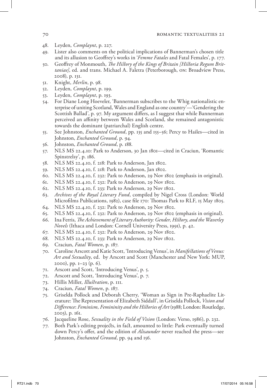#### 70 **ROMANTIC TEXTUALITIES 21**

- 48. Leyden, *Complaynt*, p. 227.
- 49. Lister also comments on the political implications of Bannerman's chosen title and its allusion to Geoffrey's works in '*Femme Fatales* and Fatal Females', p. 177.
- 50. Geoffrey of Monmouth, *The History of the Kings of Britain [Historia Regum Brittaniae]*, ed. and trans. Michael A. Faletra (Peterborough, on: Broadview Press, 2008), p. 131.
- 51. Knight, *Merlin*, p. 98.
- 52. Leyden, *Complaynt*, p. 199.
- 53. Leyden, *Complaynt*, p. 193.
- 54. For Diane Long Hoeveler, 'Bannerman subscribes to the Whig nationalistic enterprise of uniting Scotland, Wales and England as one country'—'Gendering the Scottish Ballad', p. 97. My argument differs, as I suggest that while Bannerman perceived an affinity between Wales and Scotland, she remained antagonistic towards the dominant (patriarchal) English centre.
- 55. See Johnston, *Enchanted Ground*, pp. 135 and 155–56; Percy to Hailes—cited in Johnston, *Enchanted Ground*, p. 94.
- 56. Johnston, *Enchanted Ground*, p. 188.
- 57. NLS MS 22.4.10: Park to Anderson, 30 Jan 1801—cited in Craciun, 'Romantic Spinstrelsy', p. 186.
- 58. NLS MS 22.4.10, f. 218: Park to Anderson, Jan 1802.
- 59. NLS MS 22.4.10, f. 218: Park to Anderson, Jan 1802.
- 60. NLS MS 22.4.10, f. 232: Park to Anderson, 29 Nov 1802 (emphasis in original).
- 61. NLS MS 22.4.10, f. 232: Park to Anderson, 29 Nov 1802.
- 62. NLS MS 22.4.10, f. 233: Park to Anderson, 29 Nov 1802.
- 63. *Archives of the Royal Literary Fund*, compiled by Nigel Cross (London: World Microfilms Publications, 1982), case file 170: Thomas Park to RLF, 15 May 1805.
- 64. NLS MS 22.4.10, f. 232: Park to Anderson, 29 Nov 1802.
- 65. NLS MS 22.4.10, f. 232: Park to Anderson, 29 Nov 1802 (emphasis in original).
- 66. Ina Ferris, *The Achievement of Literary Authority: Gender, History, and the Waverley Novels* (Ithaca and London: Cornell University Press, 1991), p. 42.
- 67. NLS MS 22.4.10, f. 232: Park to Anderson, 29 Nov 1802.
- 68. NLS MS 22.4.10, f. 233: Park to Anderson, 29 Nov 1802.
- 69. Craciun, *Fatal Women*, p. 187.
- 70. Caroline Arscott and Katie Scott, 'Introducing Venus', in *Manifestations of Venus: Art and Sexuality*, ed. by Arscott and Scott (Manchester and New York: MUP, 2000), pp. 1–23 (p. 6).
- 71. Arscott and Scott, 'Introducing Venus', p. 5.
- 72. Arscott and Scott, 'Introducing Venus', p. 7.
- 73. Hillis Miller, *Illustration*, p. 111.
- 74. Craciun, *Fatal Women*, p. 187.
- 75. Griselda Pollock and Deborah Cherry, 'Woman as Sign in Pre-Raphaelite Literature: The Representation of Elizabeth Siddall', in Griselda Pollock, *Vision and Difference*: *Feminism, Femininity and the Histories of Art* (1988; London: Routledge, 2003), p. 161.
- 76. Jacqueline Rose, *Sexuality in the Field of Vision* (London: Verso, 1986), p. 232.
- 77. Both Park's editing projects, in fact, amounted to little: Park eventually turned down Percy's offer, and the edition of *Alisaunder* never reached the press—see Johnston, *Enchanted Ground*, pp. 94 and 156.